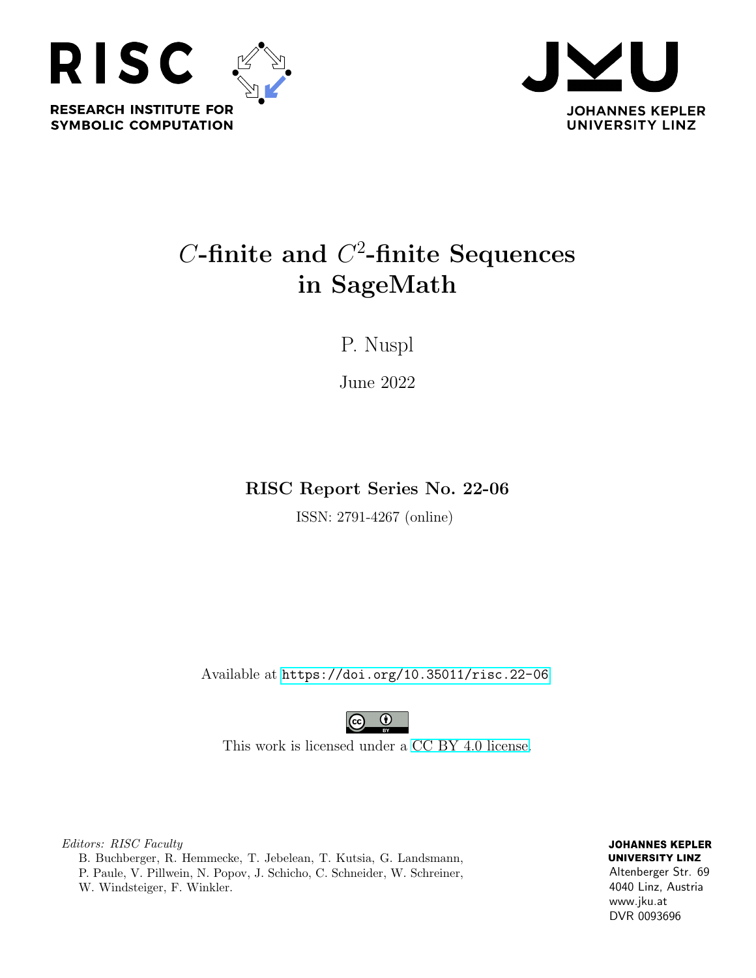



# $C$ -finite and  $C^2$ -finite Sequences in SageMath

P. Nuspl

June 2022

RISC Report Series No. 22-06

ISSN: 2791-4267 (online)

Available at <https://doi.org/10.35011/risc.22-06>



This work is licensed under a [CC BY 4.0 license.](https://creativecommons.org/licenses/by/4.0/)

Editors: RISC Faculty B. Buchberger, R. Hemmecke, T. Jebelean, T. Kutsia, G. Landsmann, P. Paule, V. Pillwein, N. Popov, J. Schicho, C. Schneider, W. Schreiner, W. Windsteiger, F. Winkler.

**JOHANNES KEPLER UNIVERSITY LINZ** Altenberger Str. 69 4040 Linz, Austria www.jku.at DVR 0093696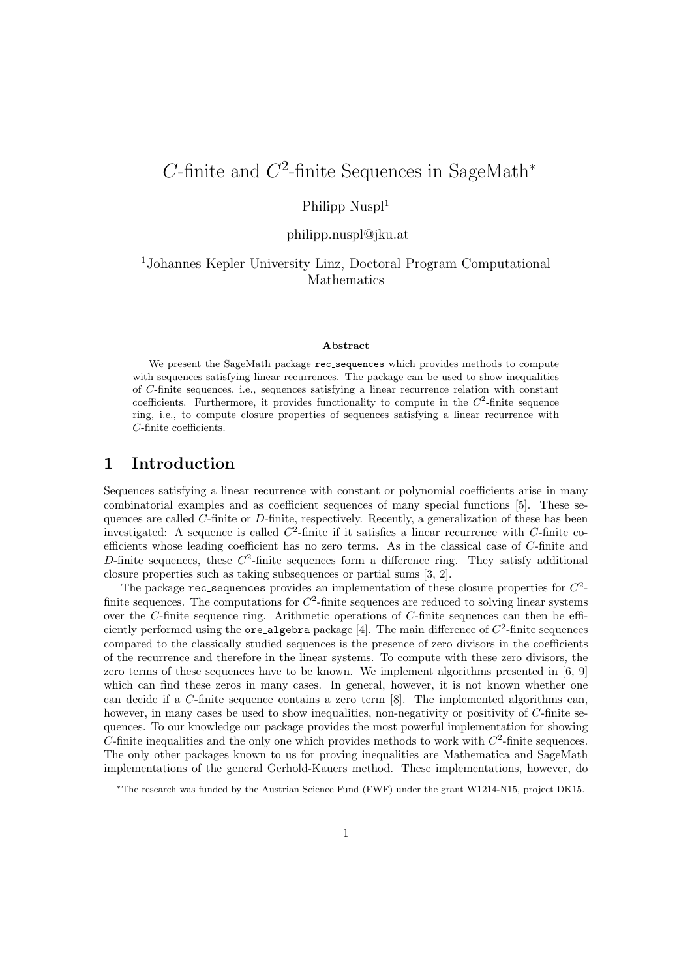## C-finite and  $C^2$ -finite Sequences in SageMath<sup>\*</sup>

### Philipp Nuspl<sup>1</sup>

#### philipp.nuspl@jku.at

#### <sup>1</sup>Johannes Kepler University Linz, Doctoral Program Computational Mathematics

#### Abstract

We present the SageMath package rec\_sequences which provides methods to compute with sequences satisfying linear recurrences. The package can be used to show inequalities of C-finite sequences, i.e., sequences satisfying a linear recurrence relation with constant coefficients. Furthermore, it provides functionality to compute in the  $C^2$ -finite sequence ring, i.e., to compute closure properties of sequences satisfying a linear recurrence with C-finite coefficients.

### 1 Introduction

Sequences satisfying a linear recurrence with constant or polynomial coefficients arise in many combinatorial examples and as coefficient sequences of many special functions [\[5\]](#page-3-0). These sequences are called C-finite or D-finite, respectively. Recently, a generalization of these has been investigated: A sequence is called  $C^2$ -finite if it satisfies a linear recurrence with C-finite coefficients whose leading coefficient has no zero terms. As in the classical case of C-finite and D-finite sequences, these  $C^2$ -finite sequences form a difference ring. They satisfy additional closure properties such as taking subsequences or partial sums [\[3,](#page-3-1) [2\]](#page-3-2).

The package  $\texttt{rec\_sequences}$  provides an implementation of these closure properties for  $C^2$ finite sequences. The computations for  $C^2$ -finite sequences are reduced to solving linear systems over the C-finite sequence ring. Arithmetic operations of C-finite sequences can then be efficiently performed using the  $\text{ore\_algebra package [4]}.$  $\text{ore\_algebra package [4]}.$  $\text{ore\_algebra package [4]}.$  The main difference of  $C^2$ -finite sequences compared to the classically studied sequences is the presence of zero divisors in the coefficients of the recurrence and therefore in the linear systems. To compute with these zero divisors, the zero terms of these sequences have to be known. We implement algorithms presented in [\[6,](#page-3-4) [9\]](#page-3-5) which can find these zeros in many cases. In general, however, it is not known whether one can decide if a C-finite sequence contains a zero term [\[8\]](#page-3-6). The implemented algorithms can, however, in many cases be used to show inequalities, non-negativity or positivity of C-finite sequences. To our knowledge our package provides the most powerful implementation for showing  $C$ -finite inequalities and the only one which provides methods to work with  $C<sup>2</sup>$ -finite sequences. The only other packages known to us for proving inequalities are Mathematica and SageMath implementations of the general Gerhold-Kauers method. These implementations, however, do

<span id="page-1-0"></span><sup>∗</sup>The research was funded by the Austrian Science Fund (FWF) under the grant W1214-N15, project DK15.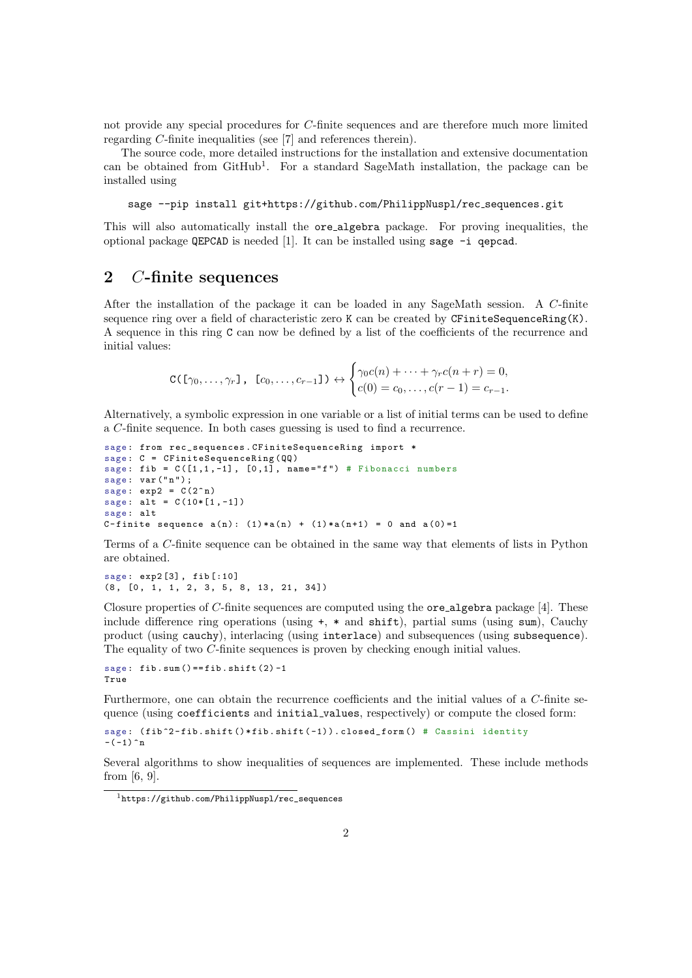not provide any special procedures for C-finite sequences and are therefore much more limited regarding C-finite inequalities (see [\[7\]](#page-3-7) and references therein).

The source code, more detailed instructions for the installation and extensive documentation can be obtained from  $G$ itHub<sup>[1](#page-1-0)</sup>. For a standard SageMath installation, the package can be installed using

sage --pip install git+https://github.com/PhilippNuspl/rec\_sequences.git

This will also automatically install the ore algebra package. For proving inequalities, the optional package **QEPCAD** is needed [\[1\]](#page-3-8). It can be installed using sage  $-i$  gepcad.

### 2 C-finite sequences

After the installation of the package it can be loaded in any SageMath session. A C-finite sequence ring over a field of characteristic zero K can be created by  $CFiniteSequenceRing(K)$ . A sequence in this ring C can now be defined by a list of the coefficients of the recurrence and initial values:

$$
C(\lbrack \gamma_0,\ldots,\gamma_r\rbrack,\ \ \lbrack c_0,\ldots,c_{r-1}\rbrack)\leftrightarrow \begin{cases} \gamma_0c(n)+\cdots+\gamma_r c(n+r)=0,\\ c(0)=c_0,\ldots,c(r-1)=c_{r-1}. \end{cases}
$$

Alternatively, a symbolic expression in one variable or a list of initial terms can be used to define a C-finite sequence. In both cases guessing is used to find a recurrence.

```
sage: from rec_sequences. CFiniteSequenceRing import *
sage: C = CFiniteSequenceRing (QQ)
sage: fib = C([1,1,-1], [0,1], \text{name="f}") # Fibonacci numbers
sage: var ("n");
sage: exp2 = C(2^nn)sage: alt = C(10*[1, -1])sage: alt
C-finite sequence a(n): (1)*a(n) + (1)*a(n+1) = 0 and a(0)=1
```
Terms of a C-finite sequence can be obtained in the same way that elements of lists in Python are obtained.

```
sage : exp2 [3] , fib [:10]
(8, [0, 1, 1, 2, 3, 5, 8, 13, 21, 34])
```
Closure properties of C-finite sequences are computed using the  $\alpha$ -algebra package [\[4\]](#page-3-3). These include difference ring operations (using  $+, *$  and  $\text{shift}$ ), partial sums (using sum), Cauchy product (using cauchy), interlacing (using interlace) and subsequences (using subsequence). The equality of two C-finite sequences is proven by checking enough initial values.

```
sage: fib.sum() == fib.split(2) -1True
```
Furthermore, one can obtain the recurrence coefficients and the initial values of a C-finite sequence (using coefficients and initial values, respectively) or compute the closed form:

```
sage: (fib<sup>2</sup>-fib.shift ()*fib.shift (-1)).closed_form () # Cassini identity
-(-1) ^n
```
Several algorithms to show inequalities of sequences are implemented. These include methods from [\[6,](#page-3-4) [9\]](#page-3-5).

<sup>1</sup>[https://github.com/PhilippNuspl/rec\\_sequences](https://github.com/PhilippNuspl/rec_sequences)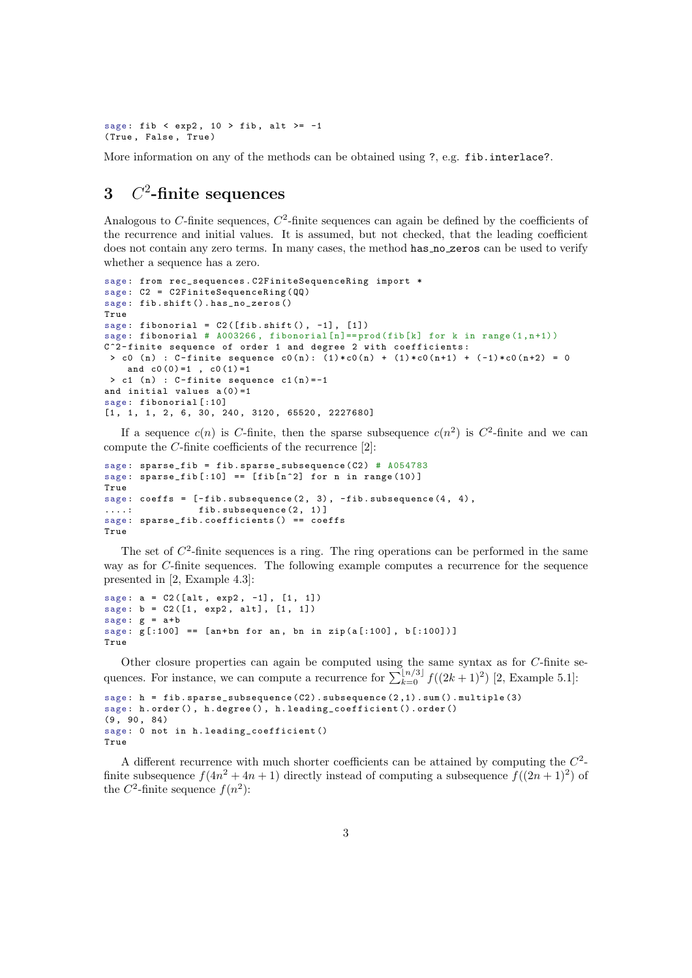```
sage: fib < exp2, 10 > fib, alt >= -1
( True , False , True )
```
More information on any of the methods can be obtained using ?, e.g. fib.interlace?.

## 3  $C^2$ -finite sequences

Analogous to C-finite sequences,  $C^2$ -finite sequences can again be defined by the coefficients of the recurrence and initial values. It is assumed, but not checked, that the leading coefficient does not contain any zero terms. In many cases, the method has no zeros can be used to verify whether a sequence has a zero.

```
sage: from rec_sequences. C2FiniteSequenceRing import *
sage: C2 = C2FiniteSequenceRing (QQ)
sage: fib.shift().has_no_zeros()
True
sage: fibonorial = C2([fib.shift(), -1], [1])sage: fibonorial # A003266, fibonorial [n]==prod(fib[k] for k in range(1,n+1))
C<sup>-2</sup>-finite sequence of order 1 and degree 2 with coefficients:
 > c0 (n) : C-finite sequence c0(n): (1)*c0(n) + (1)*c0(n+1) + (-1)*c0(n+2) = 0
    and c0(0)=1, c0(1)=1> c1 (n) : C-finite sequence c1(n) = -1and initial values a(0) = 1sage: fibonorial [:10]
[1, 1, 1, 2, 6, 30, 240, 3120, 65520, 2227680]
```
<span id="page-3-3"></span><span id="page-3-0"></span>If a sequence  $c(n)$  is C-finite, then the sparse subsequence  $c(n^2)$  is  $C^2$ -finite and we can compute the C-finite coefficients of the recurrence [\[2\]](#page-3-2):

```
sage: sparse_fib = fib.sparse_subsequence(C2) # A054783sage: sparse_fib [:10] == [fib[n^2] for n in range (10) ]
True
sage: coeffs = [-fib.subsequence(2, 3), -fib.subsequence(4, 4),....: fib.subsequence (2, 1)]
sage : sparse_fib . coefficients () == coeffs
True
```
<span id="page-3-7"></span><span id="page-3-6"></span>The set of  $C<sup>2</sup>$ -finite sequences is a ring. The ring operations can be performed in the same way as for C-finite sequences. The following example computes a recurrence for the sequence presented in [\[2,](#page-3-2) Example 4.3]:

```
sage: a = C2([alt, exp2, -1], [1, 1])sage: b = C2([1, exp2, alt], [1, 1])sage: g = a + bsage: g[:100] == [an+bn for an, bn in zip(a[:100], b[:100]))True
```
Other closure properties can again be computed using the same syntax as for  $C$ -finite sequences. For instance, we can compute a recurrence for  $\sum_{k=0}^{\lfloor n/3 \rfloor} f((2k+1)^2)$  [\[2,](#page-3-2) Example 5.1]:

```
sage: h = fib. sparse_subsequence (C2). subsequence (2, 1). sum(). multiple (3)sage: h.order(), h.degree(), h.leading_coefficient().order()
(9, 90, 84)sage: 0 not in h. leading_coefficient ()
True
```
A different recurrence with much shorter coefficients can be attained by computing the  $C<sup>2</sup>$ finite subsequence  $f(4n^2 + 4n + 1)$  directly instead of computing a subsequence  $f((2n + 1)^2)$  of the  $C^2$ -finite sequence  $f(n^2)$ :